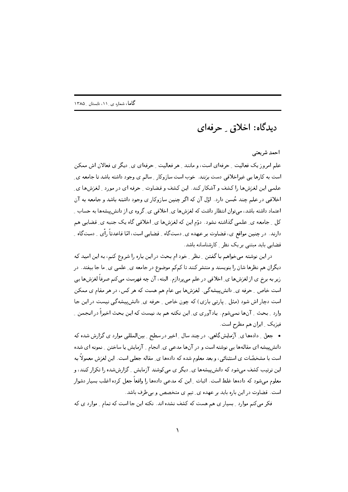ديدگاه: اخلاق \_ حرفهاي

احمد شريعتي

علم امروز یک فعالیت په حرفه ای است، و مانند په هر فعالیت په حرفه ای ی پی دیگر ی فعالان اش ممکن است به کارها یی غیراخلاقی دست بزنند. خوب است سازوکار ِ سالم ی وجود داشته باشد تا جامعه ی ِ علمی این لغزشها را کشف و آشکار کند. این کشف و قضاوت ِ حرفه ای در مورد ِ لغزشها ی اخلاقی در علم چند حُسن دارد. اوّل آن که اگر چنین سازوکار ی وجود داشته باشد و جامعه به آن اعتماد داشته باشد، می;توان انتظار داشت که لغزشها ی ِ اخلاقی ی ِ گروه ی از دانش پیشهها به حساب ِ کل \_ جامعه ي\_ علمي گذاشته نشود. دوّم اين که لغزشها ي\_ اخلاقي گاه يک جنبه ي\_ قضايي هم دارند. در چنین مواقع ی، قضاوت بر عهده ی ِ دستگاه ِ قضایی است، امّا قاعدتاً رأی ِ دستگاه ِ قضایی باید مبتنی بر یک نظر <sub>-</sub> کارشناسانه باشد.

در این نوشته می خواهم با گفتن \_ نظر \_ خود ام بحث در این باره را شروع کنم، به این امید که دیگران هم نظرها شان را بنویسند و منتشر کنند تا کمکم موضوع در جامعه ی ِ علمی ی ِ ما جا بیفتد. در زیر به برخ ی از لغزشها ی ِ اخلاقی در علم می پردازم. البته، آن چه فهرست میکنم صرفاً لغزشها یی است خاص \_ حرفه ي\_ دانش پيشهگي. لغزشها يي عام هم هست كه هر كس، در هر مقام ي ممكن است دچار اش شود (مثل \_ پارتی بازی) که چون خاص \_ حرفه ی\_ دانش پیشه گی نیست در این جا وارد \_ بحث \_ آنها نمي شوم. يادآوري ي\_ اين نكته هم بد نيست كه اين بحث اخيراً در انجمن \_ فیزیک ِ ایران هم مطرح است.

• جعل ِ دادهها ی ِ آزمایش گاهی. در چند سال ِ اخیر در سطح ِ بین|لمللی موارد ی گزارش شده که دانش پیشه ای مقالهها یی نوشته است و در آنها مدعی ی ِ انجام ِ آزمایش یا ساختن ِ نمونه ای شده است با مشخصّات ی استثنائی، و بعد معلوم شده که دادهها ی ِ مقاله جعلبی است. این لغزش معمولاً به این ترتیب کشف میشود که دانش پیشهها ی ِ دیگر ی میکوشند آزمایش ِ گزارششده را تکرار کنند، و معلوم میشود که دادهها غلط است. اثبات ِ این که مدعی دادهها را واقعاً جعل کرده اغلب بسیار دشوار است. قضاوت در این باره باید بر عهده ی ِ تیم ی متخصص و بی طرف باشد.

فکر میکنم موارد ِ بسیار ی هم هست که کشف نشده اند. نکته این جا است که تمام ِ موارد ی که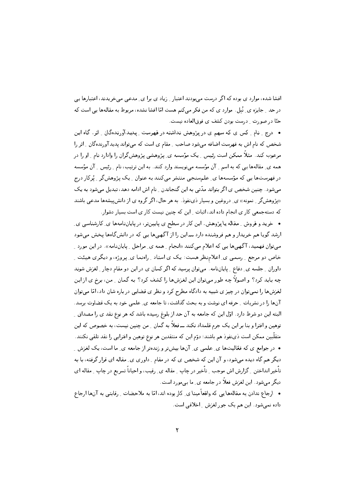افشا شده، موارد ی بوده که اگر درست می بودند اعتبار ِ زیاد ی برا ی ِ مدعی می خریدند، اعتبارها یی در حد \_ جایزه ی ِ نُبل . موارد ی که من فکر می کنم هست امّا افشا نشده، مربوط به مقالهها یی است که حتّا در صورت \_ درست بودن كشف ى فوق|لعاده نيست.

• درج ٍ نام ٍ کس ی که سهم ی در پژوهش نداشته در فهرست ِ پدید آورندهگان ِ اثر. گاه این شخص که نام اش به فهرست اضافه میشود صاحب ِ مقام ی است که میتواند پدیدآورندهگان ِ اثر را مرعوب کند. مثلاً ممکن است رئیس ِ یک مؤسسه ی ِ پژوهشی پژوهش گران را وادارد نام ِ او را در همه ی ِ مقالهها یی که به اسم ِ آن مؤسسه مینویسند وارد کنند. به این ترتیب، نام ِ رئیس ِ آن مؤسسه در فهرستها یی که مؤسسهها ی ِ علمسنجی منتشر میکنند به عنوان ِ یک پژوهشگر ِ پُرکار درج میشود . چنین شخص ی اگر بتواند مدّتی به این گنجاندن \_ نام اش ادامه دهد، تبدیل میشود به یک «پژوهشگر <sub>-</sub> نمونه» ی ِ دروغین و بسیار ذینفوذ . به هر حال، اگر گروه ی از دانش پیشهها مدعی باشند که دستهجمعی کار ی انجام داده اند، اثبات ِ این که چنین نیست کار ی است بسیار دشوار.

• خرید و فروش \_ مقاله یا پژوهش. این کار در سطح ی پایینتر، در پایاننامهها ی ِ کارشناسی ی ِ ارشد گویا هم خریدار و هم فروشنده دارد ـــ این را از آگهیها یی که در دانشگاهها پخش میشود میتوان فهمید، آگهیها یی که اعلام میکنند «انجام ِ همه ی ِ مراحل ِ پایاننامه». در این مورد ِ خاص دو مرجع <sub>-</sub> رسمي ي ِ اعلامنظر هست: يک ي استاد <sub>-</sub> راهنما ي ِ پروژه، و ديگري هيئت ِ داوران <sub>-</sub> جلسه ی ِ دفاع <sub>-</sub> پایاننامه. میتوان پرسید که اگر کسان ی در این دو مقام دچار <sub>-</sub> لغزش شوند چه باید کرد؟ و اصولاً چه طور میتوان این لغزشها را کشف کرد؟ به گمان \_ من، برخ ی از این لغزشها را نمی توان در چیز ی شبیه به دادگاه مطرح کرد و نظر ی قضایی در باره شان داد، امّا می توان آنها را در نشریات ِ حرفه ای نوشت و به بحث گذاشت، تا جامعه ی ِ علمی خود به یک قضاوت برسد. البته این دو شرط دارد. اوّل این که جامعه به آن حد از بلوغ رسیده باشد که هر نوع نقد ی را مصداق ِ توهین و افترا و بنا بر این یک جرم قلمداد نکند ـــ فعلاً به گمان ¸ من چنین نیست، به خصوص که این متقلّبين ممكن است ذي نفوذ هم باشند؛ دوّم اين كه منتقدين هر نوع توهين و افترايي را نقد تلقي نكنند. • در جوامع ی که فعّالیتها ی ِ علمی ی ِ آنها بیشتر و زندهتر از جامعه ی ِ ما است، یک لغزش ِ دیگر هم گاه دیده میشود، و آن این که شخص ی که در مقام ِ داوری ی ِ مقاله ای قرار گرفته، با به تأخیر انداختن \_ گزارش اش موجب \_ تأخیر در چاپ \_ مقاله ی\_ رقیب، و احیاناً تسریع در چاپ \_ مقاله ای دیگر می شود. این لغزش فعلاً در جامعه ی ِ ما بی مورد است.

• ارجاع ندادن به مقالهها پی که واقعاً مبنا ی ِ کار بوده اند، امّا به ملاحضات ِ رقابتی به آنها ارجاع داده نمی شود. این هم یک جور لغزش ِ اخلاقی است.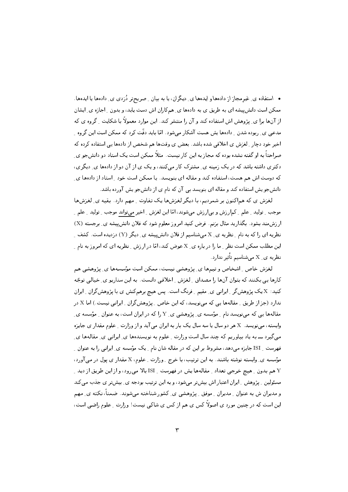• استفاده ی ِ غیرمجاز از دادهها و ایدهها ی ِ دیگران، یا به بیان ِ صریحتر دُزدی ی ِ دادهها یا ایدهها . ممکن است دانش پیشه ای به طریق ی به دادهها ی ِ همکاران اش دست یابد، و بدون ِ اجازه ی ِ ایشان از آنها برا ی پژوهش اش استفاده کند و آن را منتشر کند. این موارد معمولاً با شکایت <sub>ب</sub> گروه ی که مدعی ی ِ ربوده شدن ِ دادهها پش هست آشکار می شود. امّا باید دقّت کرد که ممکن است این گروه ِ اخیر خود دچار ِ لغزش ی اخلاقی شده باشد. بعض ی وقتها هم شخص از دادهها یی استفاده کرده که صراحتاً به او گفته نشده بوده که مجاز به این کار نیست. مثلاً ممکن است یک استاد دو دانش جو ی دکتری داشته باشد که در یک زمینه ی ِ مشترک کار می کنند، و یک ی از آن دو از دادهها ی ِ دیگری، که دوست اش هم هست، استفاده کند و مقاله ای بنویسد. یا ممکن است خود راستاد از دادهها ی دانشجو پش استفاده کند و مقاله ای بنویسد بی آن که نام ی از دانشجو پش آورده باشد.

لغزش ی که هماکنون بر شمردیم، با دیگر لغزشها یک تفاوت ِ مهم دارد. بقیه ی ِ لغزشها موجب \_ تولید \_ علم \_ کم|رزش و بی|رزش میشوند، امّا این لغزش \_ اخیر میتواند موجب \_ تولید \_ علم \_ ارزشمند بشود. بگذارید مثال بزنم. فرض کنید امروز معلوم شود که فلان دانشپیشه ی ِ برجسته (X) نظریه ای را که به نام <sub>-</sub> نظریه ی ِ X میشناسیم از فلان دانش پیشه ی ِ دیگر (Y) دزدیده است. کشف ِ این مطلب ممکن است نظر <sub>-</sub> ما را در باره ی ِ X عوض کند، امّا در ارزش <sub>-</sub> نظریه ای که امروز به نام <sub>-</sub> نظریه ی ِ x میشناسیم تأثیر ندارد.

لغزش خاص ٍ اشخاص و تيمها ي ٍ پژوهشي نيست، ممكن است مؤسسهها ي ِ پژوهشي هم کارها یی بکنند که بتوان آنها را مصداق ِ لغزش ِ اخلاقی دانست. به این سناریو ی ِ خیالی توجّه کنید: X یک پژوهشگر <sub>-</sub> ایرانی ی ِ مقیم <sub>-</sub> فرنگ است. پس هیچ برهمکنش ی با پژوهشگران <sub>-</sub> ایران ندارد (جز از طریق <sub>-</sub> مقالهها یی که می:نویسد، که این خاص <sub>-</sub> پژوهشگران <sub>-</sub> ایرانی نیست.) اما X در مقالهها یبی که می نویسد نام ِ مؤسسه ی ِ پژوهشی ی ِ Y را که در ایران است، به عنوان ِ مؤسسه ی ِ وابسته، میٖنویسد. X هر دو سال یا سه سال یک بار به ایران می آید و از وزارت ِ علوم مقدار ی جایزه میگیرد ـــ به یاد بیاوریم که چند سال است وزارت ِ علوم به نویسندهها ی ِ ایرانی ی ِ مقالهها ی ِ فهرست ِ ISI جایزه میدهد، مشروط بر این که در مقاله شان نام ِ یک مؤسسه ی ِ ایرانی را به عنوان ِ مؤسسه ي ِ وابسته نوشته باشند. به اين ترتيب، با خرج ِ وزارت ِ علوم، X مقدار ي پول در مي آورد، هم بدون \_ هيچ خرجي تعداد \_ مقالهها يش در فهرست \_ ISI بالا ميرود، و از اين طريق از ديد \_ مسئولین \_ پژوهش \_ ایران اعتبار اش بیش تر می شود، و به این ترتیب بودجه ی\_ بیش تر ی جذب می کند و مدیران ش به عنوان <sub>-</sub> مدیران <sub>-</sub> موفق <sub>-</sub> پژوهشی ی ِ کشور شناخته می شوند. ضمناً، نکته ی ِ مهم این است که در چنین مورد ی اصولاً کس ی هم از کس ی شاکی نیست! وزارت ِ علوم راضی است،